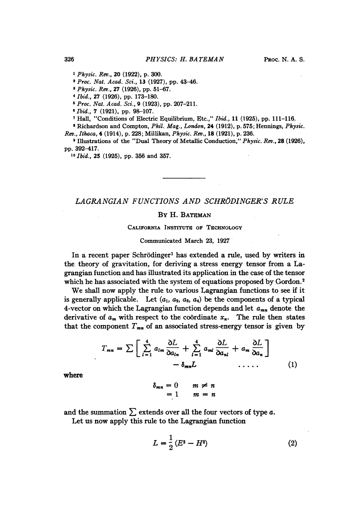<sup>I</sup> Physic. Rev., 20 (1922), p. 300.

<sup>2</sup> Proc. Nat. Acad. Sci., 13 (1927), pp. 43-46.

<sup>3</sup> Physic. Rev., 27 (1926), pp. 51-67.

4Ibid., 27 (1926), pp. 173-180.

<sup>5</sup> Proc. Nat. Acad. Sci., 9 (1923), pp. 207-211.

6Ibid., 7 (1921), pp. 98-107.

<sup>7</sup> Hall, "Conditions of Electric Equilibrium, Etc.," Ibid., 11 (1925), pp. 111-116.

<sup>8</sup> Richardson and Compton, Phil. Mag., London, 24 (1912), p. 575; Hennings, Physic. Rev., Ithaca, 4 (1914), p. 228; Millikan, Physic. Rev., 18 (1921), p. 236.

<sup>9</sup> Illustrations of the "Dual Theory of Metallic Conduction," Physic. Rev., 28 (1926), pp. 392-417.

<sup>10</sup> Ibid., 25 (1925), pp. 356 and 357.

# LAGRANGIAN FUNCTIONS AND SCHRÖDINGER'S RULE

### By H. BATEMAN

### CALIFORNIA INSTITUTE OF TECHNOLOGY

#### Communicated March 23, 1927

In a recent paper Schrödinger<sup>1</sup> has extended a rule, used by writers in the theory of gravitation, for deriving a stress energy tensor from a Lagrangian function and has illustrated its application in the case of the tensor which he has associated with the system of equations proposed by Gordon.<sup>2</sup>

We shall now apply the rule to various Lagrangian functions to see if it is generally applicable. Let  $(a_1, a_2, a_3, a_4)$  be the components of a typical 4-vector on which the Lagrangian function depends and let  $a_{mn}$  denote the derivative of  $a_m$  with respect to the coordinate  $x_n$ . The rule then states

that the component 
$$
T_{mn}
$$
 of an associated stress-energy tensor is given by  
\n
$$
T_{mn} = \sum \left[ \sum_{l=1}^{4} a_{lm} \frac{\partial L}{\partial a_{ln}} + \sum_{l=1}^{4} a_{ml} \frac{\partial L}{\partial a_{nl}} + a_m \frac{\partial L}{\partial a_n} \right]
$$
\n
$$
- \delta_{mn} L \qquad \qquad (1)
$$

where

 $\delta_{mn}=0 \qquad m \neq n$  $= 1$   $m = n$ 

and the summation  $\sum$  extends over all the four vectors of type  $a$ .

Let us now apply this rule to the Lagrangian function

$$
L = \frac{1}{2} (E^2 - H^2)
$$
 (2)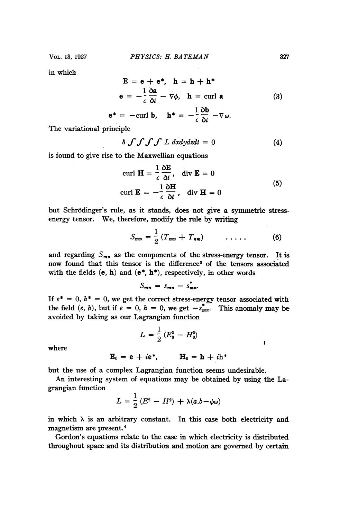in which

$$
\mathbf{E} = \mathbf{e} + \mathbf{e}^*, \quad \mathbf{h} = \mathbf{h} + \mathbf{h}^*
$$
  
\n
$$
\mathbf{e} = -\frac{1}{c} \frac{\partial \mathbf{a}}{\partial i} - \nabla \phi, \quad \mathbf{h} = \text{curl } \mathbf{a}
$$
  
\n
$$
\mathbf{e}^* = -\text{curl } \mathbf{b}, \quad \mathbf{h}^* = -\frac{1}{c} \frac{\partial \mathbf{b}}{\partial t} - \nabla \omega.
$$
 (3)

The variational principle

$$
\delta \int \int \int \int L \, dxdydzdt = 0 \tag{4}
$$

is found to give rise to the Maxwellian equations

$$
\text{curl } \mathbf{H} = \frac{1}{c} \frac{\partial \mathbf{E}}{\partial t}, \quad \text{div } \mathbf{E} = 0
$$
\n
$$
\text{curl } \mathbf{E} = -\frac{1}{c} \frac{\partial \mathbf{H}}{\partial t}, \quad \text{div } \mathbf{H} = 0
$$
\n(5)

but Schrodinger's rule, as it stands, does not give a symmetric stressenergy tensor. We, therefore, modify the rule by writing

$$
S_{mn} = \frac{1}{2} \left( T_{mn} + T_{nm} \right) \qquad \ldots \qquad (6)
$$

and regarding  $S_{mn}$  as the components of the stress-energy tensor. It is now found that this tensor is the difference3 of the tensors associated with the fields  $(e, h)$  and  $(e^*, h^*)$ , respectively, in other words

$$
S_{mn} = s_{mn} - s_{mn}^*
$$

If  $e^* = 0$ ,  $h^* = 0$ , we get the correct stress-energy tensor associated with the field  $(e, h)$ , but if  $e = 0$ ,  $h = 0$ , we get  $-s_{mn}^*$ . This anomaly may be avoided by taking as our Lagrangian function

$$
L = \frac{1}{2} \left( E_0^2 - H_0^2 \right)
$$

where

$$
\mathbf{E}_0 = \mathbf{e} + i\mathbf{e}^*, \qquad \mathbf{H}_0 = \mathbf{h} + i\mathbf{h}^*
$$

but the use of a complex Lagrangian function seems undesirable.

An interesting system of equations may be obtained by using the Lagrangian function

$$
L=\frac{1}{2}\left(E^2-H^2\right)+\lambda(a.b-\phi\omega)
$$

in which  $\lambda$  is an arbitrary constant. In this case both electricity and magnetism are present.4

Gordon's equations relate to the case in which electricity is distributed throughout space and its distribution and motion are governed by certain

 $\bullet$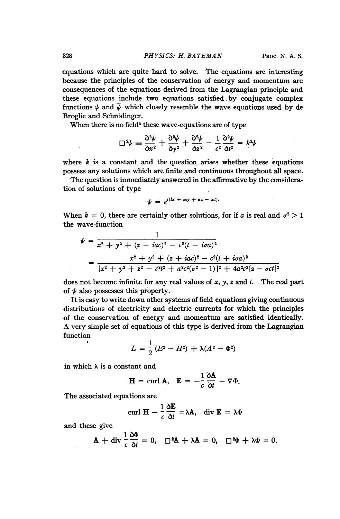equations which are quite hard to solve. The equations are interesting because the principles of the conservation of energy and momentum are consequences of the equations derived from the Lagrangian principle and these equations include two equations satisfied by conjugate complex functions  $\psi$  and  $\bar{\psi}$  which closely resemble the wave equations used by de Broglie and Schrodinger.

When there is no field<sup>5</sup> these wave-equations are of type

$$
\Box^2 \psi = \frac{\partial^2 \psi}{\partial x^2} + \frac{\partial^2 \psi}{\partial y^2} + \frac{\partial^2 \psi}{\partial z^2} - \frac{1}{c^2} \frac{\partial^2 \psi}{\partial t^2} = k^2 \psi
$$

where  $k$  is a constant and the question arises whether these equations possess any solutions which are finite and continuous throughout all space.

The question is immediately answered in the affirmative by the consideration of solutions of type

$$
\psi = e^{i(lx + my + ns - wt)}.
$$

When  $k = 0$ , there are certainly other solutions, for if a is real and  $\sigma^2 > 1$ the wave-function

$$
\psi = \frac{1}{x^2 + y^2 + (z - iac)^2 - c^2(t - i\sigma a)^2}
$$
\n
$$
= \frac{x^2 + y^2 + (z + iac)^2 - c^2(t + i\sigma a)^2}{[x^2 + y^2 + z^2 - c^2t^2 + a^2c^2(\sigma^2 - 1)]^2 + 4a^2c^2[z - \sigma ct]^2}
$$

does not become infinite for any real values of x, y, z and t. The real part of  $\psi$  also possesses this property.

It is easy to write down other systems of field equations giving continuous distributions of electricity and electric currents for which the principles of the conservation of energy and momentum are satisfied identically. A very simple set of equations of this type is derived from the Lagrangian function

$$
L = \frac{1}{2} (E^2 - H^2) + \lambda (A^2 - \Phi^2)
$$

in which  $\lambda$  is a constant and

$$
\mathbf{H} = \text{curl } \mathbf{A}, \quad \mathbf{E} = -\frac{1}{c} \frac{\partial \mathbf{A}}{\partial t} - \nabla \Phi.
$$

The associated equations are

curl 
$$
\mathbf{H} - \frac{1}{c} \frac{\partial \mathbf{E}}{\partial t} = \lambda \mathbf{A}
$$
, div  $\mathbf{E} = \lambda \Phi$ 

and these give

$$
\mathbf{A} + \text{div} \frac{1}{c} \frac{\partial \Phi}{\partial t} = 0, \quad \Box^2 \mathbf{A} + \lambda \mathbf{A} = 0, \quad \Box^2 \Phi + \lambda \Phi = 0.
$$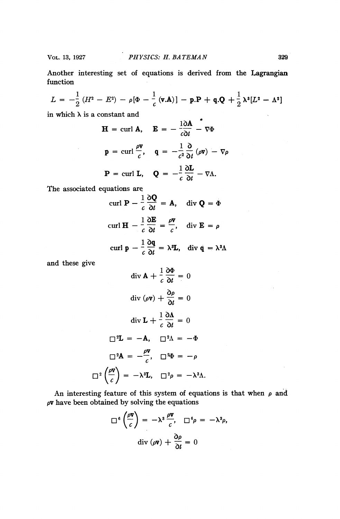Another interesting set of equations is derived from the Lagrangian function

function  

$$
L = -\frac{1}{2} (H^2 - E^2) - \rho [\Phi - \frac{1}{c} (\mathbf{v}.\mathbf{A})] - \mathbf{p}.\mathbf{P} + \mathbf{q}.\mathbf{Q} + \frac{1}{2} \lambda^2 [L^2 - \Lambda^2]
$$

in which  $\lambda$  is a constant and

 $\mathcal{L}_{\rm{max}}$ 

$$
\mathbf{H} = \text{curl } \mathbf{A}, \quad \mathbf{E} = -\frac{1}{c\partial t} - \nabla \Phi
$$
\n
$$
\mathbf{p} = \text{curl} \frac{\rho \mathbf{v}}{c}, \quad \mathbf{q} = -\frac{1}{c^2} \frac{\partial}{\partial t} (\rho \mathbf{v}) - \nabla \rho
$$
\n
$$
\mathbf{P} = \text{curl } \mathbf{L}, \quad \mathbf{Q} = -\frac{1}{c} \frac{\partial \mathbf{L}}{\partial t} - \nabla \Lambda.
$$

The associated equations are

curl 
$$
\mathbf{P} - \frac{1}{c} \frac{\partial \mathbf{Q}}{\partial t} = \mathbf{A}
$$
, div  $\mathbf{Q} = \dot{\Phi}$   
\ncurl  $\mathbf{H} - \frac{1}{c} \frac{\partial \mathbf{E}}{\partial t} = \frac{\rho \mathbf{v}}{c}$ , div  $\mathbf{E} = \rho$   
\ncurl  $\mathbf{p} - \frac{1}{c} \frac{\partial \mathbf{q}}{\partial t} = \lambda^{\mathbf{s}} \mathbf{L}$ , div  $\dot{\mathbf{q}} = \lambda^{\mathbf{s}} \Lambda$ 

and these give

$$
\operatorname{div} \mathbf{A} + \frac{1}{c} \frac{\partial \Phi}{\partial t} = 0
$$

$$
\operatorname{div} (\rho \mathbf{v}) + \frac{\partial \rho}{\partial t} = 0
$$

$$
\operatorname{div} \mathbf{L} + \frac{1}{c} \frac{\partial \Lambda}{\partial t} = 0
$$

$$
\Box^2 \mathbf{L} = -\mathbf{A}, \quad \Box^2 \Lambda = -\Phi
$$

$$
\Box^2 \mathbf{A} = -\frac{\rho \mathbf{v}}{c}, \quad \Box^2 \Phi = -\rho
$$

$$
\Box^2 \left(\frac{\rho \mathbf{v}}{c}\right) = -\lambda^3 \mathbf{L}, \quad \Box^2 \rho = -\lambda^3 \Lambda.
$$

An interesting feature of this system of equations is that when  $\rho$  and  $\rho$ **v** have been obtained by solving the equations

$$
\Box^{6}\left(\frac{\rho \mathbf{v}}{c}\right) = -\lambda^{3} \frac{\rho \mathbf{v}}{c}, \quad \Box^{6} \rho = -\lambda^{3} \rho,
$$

$$
\text{div}(\rho \mathbf{v}) + \frac{\partial \rho}{\partial t} = 0
$$